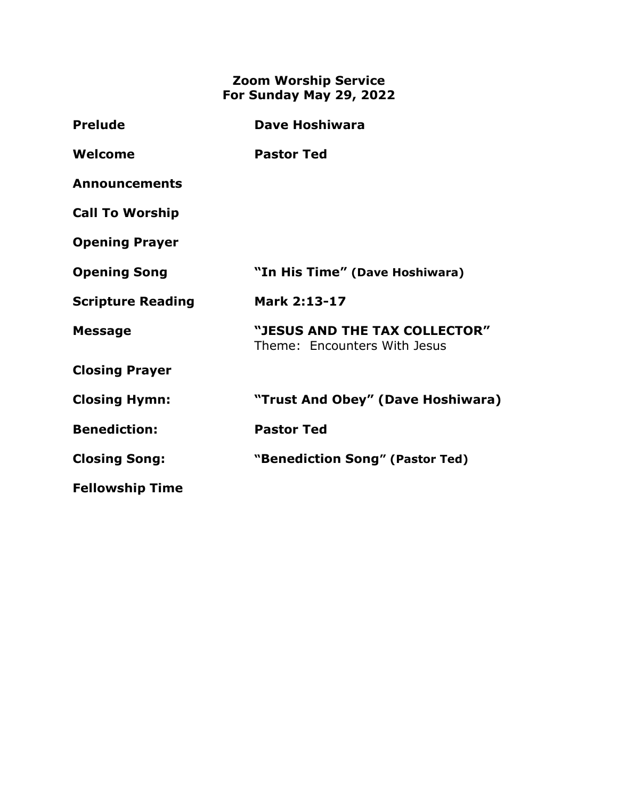## **Zoom Worship Service For Sunday May 29, 2022**

| <b>Prelude</b>           | <b>Dave Hoshiwara</b>                                         |
|--------------------------|---------------------------------------------------------------|
| Welcome                  | <b>Pastor Ted</b>                                             |
| <b>Announcements</b>     |                                                               |
| <b>Call To Worship</b>   |                                                               |
| <b>Opening Prayer</b>    |                                                               |
| <b>Opening Song</b>      | "In His Time" (Dave Hoshiwara)                                |
| <b>Scripture Reading</b> | Mark 2:13-17                                                  |
| <b>Message</b>           | "JESUS AND THE TAX COLLECTOR"<br>Theme: Encounters With Jesus |
| <b>Closing Prayer</b>    |                                                               |
| <b>Closing Hymn:</b>     | "Trust And Obey" (Dave Hoshiwara)                             |
| <b>Benediction:</b>      | <b>Pastor Ted</b>                                             |
| <b>Closing Song:</b>     | "Benediction Song" (Pastor Ted)                               |
| <b>Fellowship Time</b>   |                                                               |